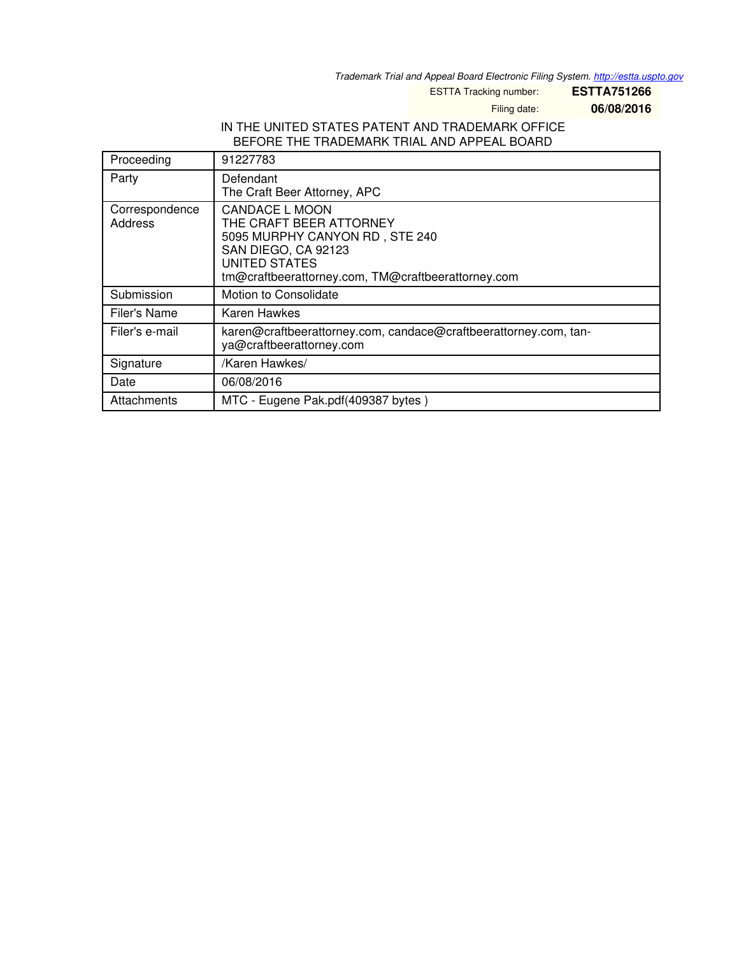*Trademark Trial and Appeal Board Electronic Filing System. <http://estta.uspto.gov>*

ESTTA Tracking number: **ESTTA751266**

Filing date: **06/08/2016**

## IN THE UNITED STATES PATENT AND TRADEMARK OFFICE BEFORE THE TRADEMARK TRIAL AND APPEAL BOARD

| Proceeding                | 91227783                                                                                                                                                                                |
|---------------------------|-----------------------------------------------------------------------------------------------------------------------------------------------------------------------------------------|
| Party                     | Defendant<br>The Craft Beer Attorney, APC                                                                                                                                               |
| Correspondence<br>Address | <b>CANDACE L MOON</b><br>THE CRAFT BEER ATTORNEY<br>5095 MURPHY CANYON RD, STE 240<br>SAN DIEGO, CA 92123<br><b>UNITED STATES</b><br>tm@craftbeerattorney.com, TM@craftbeerattorney.com |
| Submission                | Motion to Consolidate                                                                                                                                                                   |
| Filer's Name              | Karen Hawkes                                                                                                                                                                            |
| Filer's e-mail            | karen@craftbeerattorney.com, candace@craftbeerattorney.com, tan-<br>ya@craftbeerattorney.com                                                                                            |
| Signature                 | /Karen Hawkes/                                                                                                                                                                          |
| Date                      | 06/08/2016                                                                                                                                                                              |
| Attachments               | MTC - Eugene Pak.pdf(409387 bytes)                                                                                                                                                      |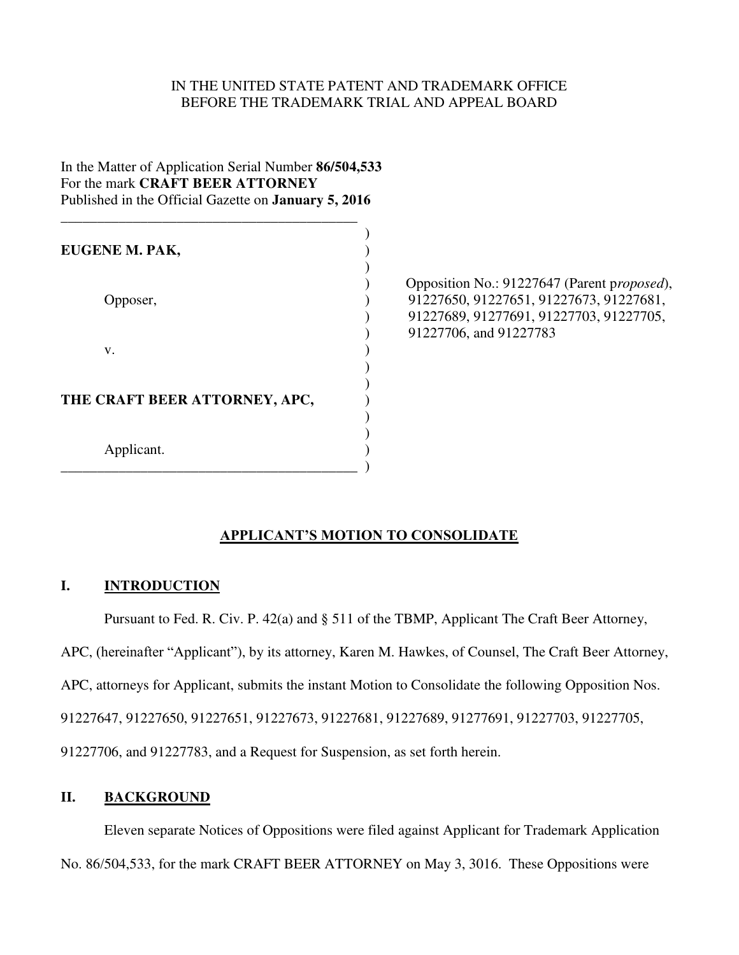### IN THE UNITED STATE PATENT AND TRADEMARK OFFICE BEFORE THE TRADEMARK TRIAL AND APPEAL BOARD

# In the Matter of Application Serial Number **86/504,533**  For the mark **CRAFT BEER ATTORNEY** Published in the Official Gazette on **January 5, 2016**

\_\_\_\_\_\_\_\_\_\_\_\_\_\_\_\_\_\_\_\_\_\_\_\_\_\_\_\_\_\_\_\_\_\_\_\_\_\_\_\_\_

 $)$ **EUGENE M. PAK,** )  $)$ v. (a) and (b) and (b) and (c) and (c) and (c) and (c) and (c) and (c) and (c) and (c) and (c) and (c) and (c) and (c) and (c) and (c) and (c) and (c) and (c) and (c) and (c) and (c) and (c) and (c) and (c) and (c) and (c)  $)$  $)$ **THE CRAFT BEER ATTORNEY, APC,** ) )  $)$ Applicant. )

\_\_\_\_\_\_\_\_\_\_\_\_\_\_\_\_\_\_\_\_\_\_\_\_\_\_\_\_\_\_\_\_\_\_\_\_\_\_\_\_\_ )

 ) Opposition No.: 91227647 (Parent p*roposed*), Opposer, 91227650, 91227651, 91227673, 91227681, ) 91227689, 91277691, 91227703, 91227705, ) 91227706, and 91227783

# **APPLICANT'S MOTION TO CONSOLIDATE**

## **I. INTRODUCTION**

Pursuant to Fed. R. Civ. P. 42(a) and § 511 of the TBMP, Applicant The Craft Beer Attorney,

APC, (hereinafter "Applicant"), by its attorney, Karen M. Hawkes, of Counsel, The Craft Beer Attorney,

APC, attorneys for Applicant, submits the instant Motion to Consolidate the following Opposition Nos.

91227647, 91227650, 91227651, 91227673, 91227681, 91227689, 91277691, 91227703, 91227705,

91227706, and 91227783, and a Request for Suspension, as set forth herein.

## **II. BACKGROUND**

 Eleven separate Notices of Oppositions were filed against Applicant for Trademark Application No. 86/504,533, for the mark CRAFT BEER ATTORNEY on May 3, 3016. These Oppositions were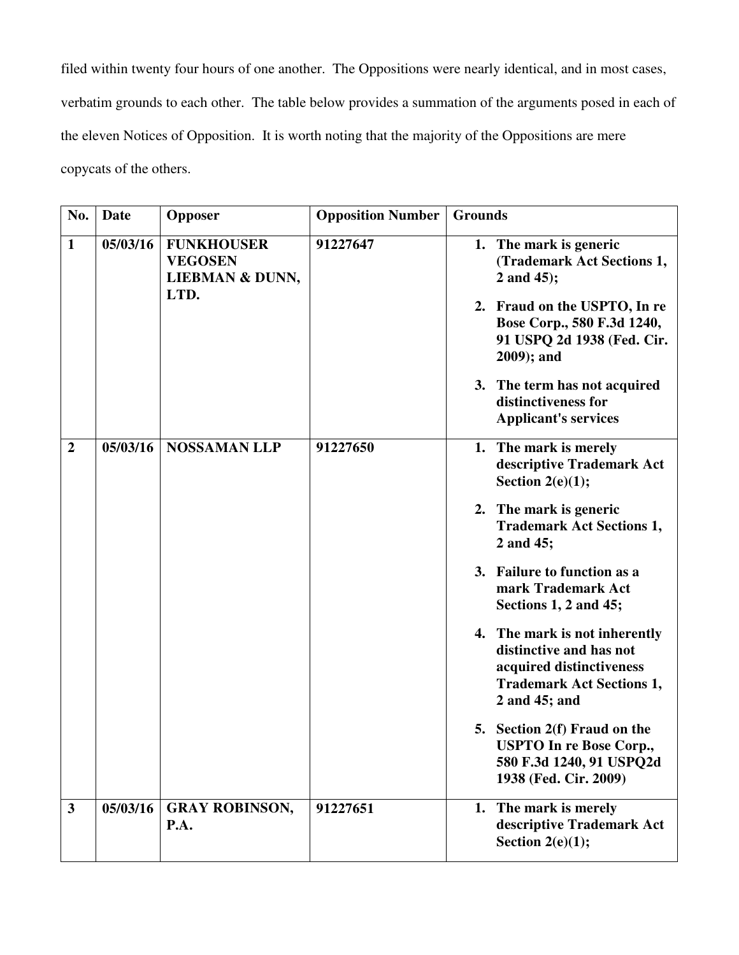filed within twenty four hours of one another. The Oppositions were nearly identical, and in most cases, verbatim grounds to each other. The table below provides a summation of the arguments posed in each of the eleven Notices of Opposition. It is worth noting that the majority of the Oppositions are mere copycats of the others.

| No.            | <b>Date</b> | <b>Opposer</b>                                         | <b>Opposition Number</b> | <b>Grounds</b>                                                                                                                            |
|----------------|-------------|--------------------------------------------------------|--------------------------|-------------------------------------------------------------------------------------------------------------------------------------------|
| $\mathbf{1}$   | 05/03/16    | <b>FUNKHOUSER</b><br><b>VEGOSEN</b><br>LIEBMAN & DUNN, | 91227647                 | 1. The mark is generic<br>(Trademark Act Sections 1,<br>2 and 45);                                                                        |
|                |             | LTD.                                                   |                          | 2. Fraud on the USPTO, In re<br>Bose Corp., 580 F.3d 1240,<br>91 USPQ 2d 1938 (Fed. Cir.<br>$2009$ ; and                                  |
|                |             |                                                        |                          | 3. The term has not acquired<br>distinctiveness for<br><b>Applicant's services</b>                                                        |
| $\overline{2}$ | 05/03/16    | <b>NOSSAMAN LLP</b>                                    | 91227650                 | 1. The mark is merely<br>descriptive Trademark Act<br>Section $2(e)(1)$ ;                                                                 |
|                |             |                                                        |                          | 2. The mark is generic<br><b>Trademark Act Sections 1,</b><br>2 and 45;                                                                   |
|                |             |                                                        |                          | 3. Failure to function as a<br>mark Trademark Act<br>Sections 1, 2 and 45;                                                                |
|                |             |                                                        |                          | 4. The mark is not inherently<br>distinctive and has not<br>acquired distinctiveness<br><b>Trademark Act Sections 1,</b><br>2 and 45; and |
|                |             |                                                        |                          | 5. Section 2(f) Fraud on the<br><b>USPTO</b> In re Bose Corp.,<br>580 F.3d 1240, 91 USPQ2d<br>1938 (Fed. Cir. 2009)                       |
| $\mathbf{3}$   | 05/03/16    | <b>GRAY ROBINSON,</b><br>P.A.                          | 91227651                 | The mark is merely<br>1.<br>descriptive Trademark Act<br>Section $2(e)(1)$ ;                                                              |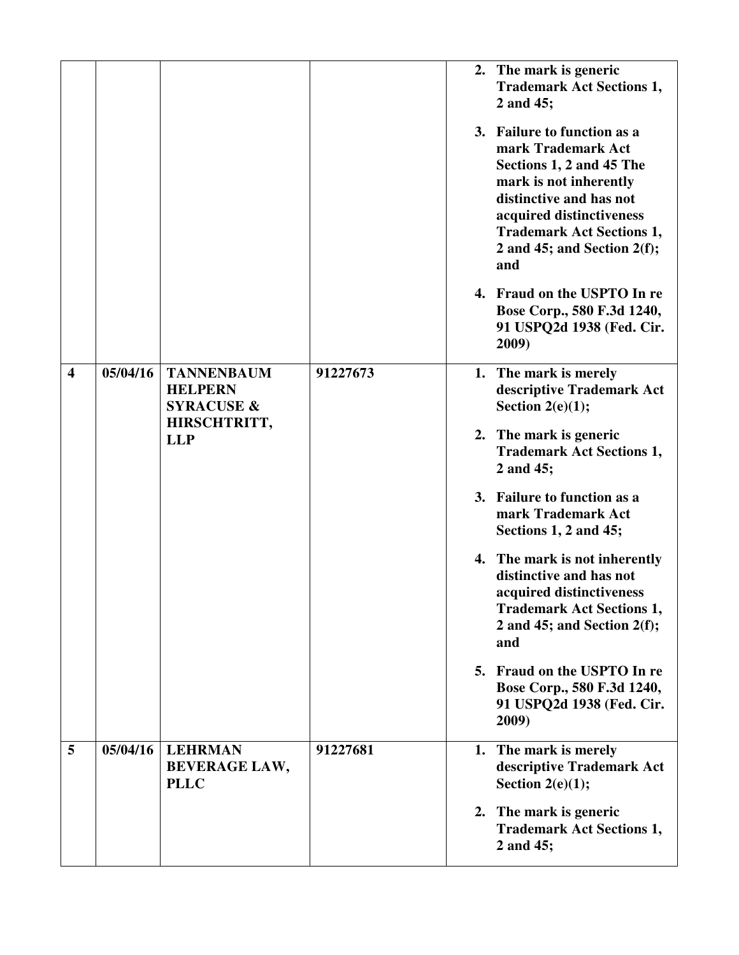|                         |          |                                                                              |          | 2. The mark is generic<br><b>Trademark Act Sections 1,</b><br>2 and 45;                                                                                                                                                                     |
|-------------------------|----------|------------------------------------------------------------------------------|----------|---------------------------------------------------------------------------------------------------------------------------------------------------------------------------------------------------------------------------------------------|
|                         |          |                                                                              |          | 3. Failure to function as a<br>mark Trademark Act<br>Sections 1, 2 and 45 The<br>mark is not inherently<br>distinctive and has not<br>acquired distinctiveness<br><b>Trademark Act Sections 1,</b><br>2 and 45; and Section $2(f)$ ;<br>and |
|                         |          |                                                                              |          | 4. Fraud on the USPTO In re<br>Bose Corp., 580 F.3d 1240,<br>91 USPQ2d 1938 (Fed. Cir.<br>2009)                                                                                                                                             |
| $\overline{\mathbf{4}}$ | 05/04/16 | <b>TANNENBAUM</b><br><b>HELPERN</b><br><b>SYRACUSE &amp;</b><br>HIRSCHTRITT, | 91227673 | 1. The mark is merely<br>descriptive Trademark Act<br>Section $2(e)(1)$ ;                                                                                                                                                                   |
|                         |          | <b>LLP</b>                                                                   |          | 2. The mark is generic<br><b>Trademark Act Sections 1,</b><br>2 and 45;                                                                                                                                                                     |
|                         |          |                                                                              |          | 3. Failure to function as a<br>mark Trademark Act<br>Sections 1, 2 and 45;                                                                                                                                                                  |
|                         |          |                                                                              |          | 4. The mark is not inherently<br>distinctive and has not<br>acquired distinctiveness<br><b>Trademark Act Sections 1,</b><br>2 and 45; and Section $2(f)$ ;<br>and                                                                           |
|                         |          |                                                                              |          | 5. Fraud on the USPTO In re<br>Bose Corp., 580 F.3d 1240,<br>91 USPQ2d 1938 (Fed. Cir.<br>2009)                                                                                                                                             |
| 5                       | 05/04/16 | <b>LEHRMAN</b><br><b>BEVERAGE LAW,</b><br><b>PLLC</b>                        | 91227681 | 1. The mark is merely<br>descriptive Trademark Act<br>Section $2(e)(1)$ ;                                                                                                                                                                   |
|                         |          |                                                                              |          | 2. The mark is generic<br><b>Trademark Act Sections 1,</b><br>2 and 45;                                                                                                                                                                     |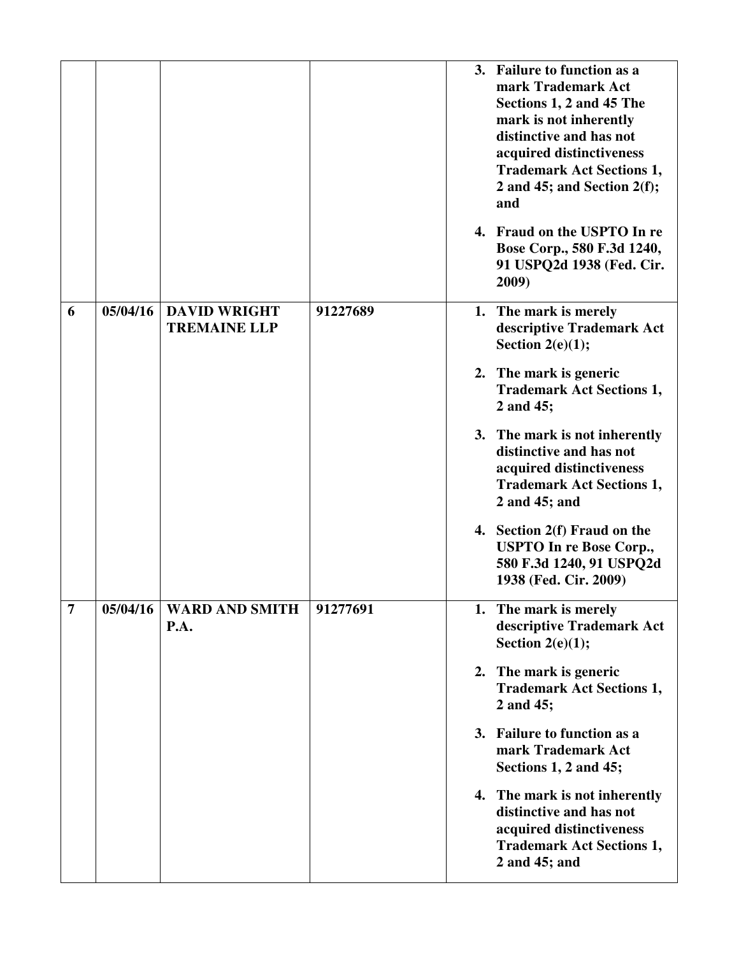|   |          |                                            |          | 3. Failure to function as a<br>mark Trademark Act<br>Sections 1, 2 and 45 The<br>mark is not inherently<br>distinctive and has not<br>acquired distinctiveness<br><b>Trademark Act Sections 1,</b><br>2 and 45; and Section $2(f)$ ;<br>and |
|---|----------|--------------------------------------------|----------|---------------------------------------------------------------------------------------------------------------------------------------------------------------------------------------------------------------------------------------------|
|   |          |                                            |          | 4. Fraud on the USPTO In re<br>Bose Corp., 580 F.3d 1240,<br>91 USPQ2d 1938 (Fed. Cir.<br>2009)                                                                                                                                             |
| 6 | 05/04/16 | <b>DAVID WRIGHT</b><br><b>TREMAINE LLP</b> | 91227689 | 1. The mark is merely<br>descriptive Trademark Act<br>Section $2(e)(1)$ ;                                                                                                                                                                   |
|   |          |                                            |          | 2. The mark is generic<br><b>Trademark Act Sections 1,</b><br>2 and 45;                                                                                                                                                                     |
|   |          |                                            |          | 3. The mark is not inherently<br>distinctive and has not<br>acquired distinctiveness<br><b>Trademark Act Sections 1,</b><br>2 and 45; and                                                                                                   |
|   |          |                                            |          | 4. Section 2(f) Fraud on the<br><b>USPTO In re Bose Corp.,</b><br>580 F.3d 1240, 91 USPQ2d<br>1938 (Fed. Cir. 2009)                                                                                                                         |
| 7 | 05/04/16 | <b>WARD AND SMITH</b><br>P.A.              | 91277691 | 1. The mark is merely<br>descriptive Trademark Act<br>Section $2(e)(1)$ ;                                                                                                                                                                   |
|   |          |                                            |          | 2. The mark is generic<br><b>Trademark Act Sections 1,</b><br>2 and 45;                                                                                                                                                                     |
|   |          |                                            |          | 3. Failure to function as a<br>mark Trademark Act<br>Sections 1, 2 and 45;                                                                                                                                                                  |
|   |          |                                            |          | 4. The mark is not inherently<br>distinctive and has not<br>acquired distinctiveness<br><b>Trademark Act Sections 1,</b><br>2 and 45; and                                                                                                   |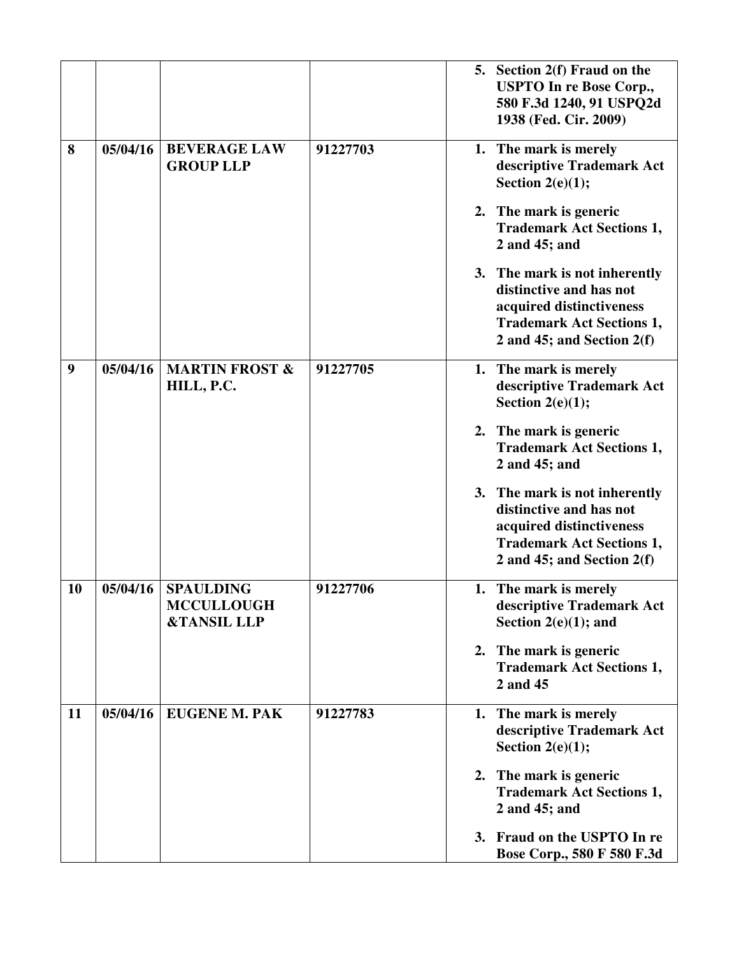|    |          |                                                                 |          | 5. Section 2(f) Fraud on the<br><b>USPTO In re Bose Corp.,</b><br>580 F.3d 1240, 91 USPQ2d<br>1938 (Fed. Cir. 2009)                                      |
|----|----------|-----------------------------------------------------------------|----------|----------------------------------------------------------------------------------------------------------------------------------------------------------|
| 8  | 05/04/16 | <b>BEVERAGE LAW</b><br><b>GROUP LLP</b>                         | 91227703 | 1. The mark is merely<br>descriptive Trademark Act<br>Section $2(e)(1)$ ;                                                                                |
|    |          |                                                                 |          | 2. The mark is generic<br><b>Trademark Act Sections 1,</b><br>2 and 45; and                                                                              |
|    |          |                                                                 |          | 3. The mark is not inherently<br>distinctive and has not<br>acquired distinctiveness<br><b>Trademark Act Sections 1,</b><br>2 and 45; and Section $2(f)$ |
| 9  | 05/04/16 | <b>MARTIN FROST &amp;</b><br>HILL, P.C.                         | 91227705 | 1. The mark is merely<br>descriptive Trademark Act<br>Section $2(e)(1)$ ;                                                                                |
|    |          |                                                                 |          | 2. The mark is generic<br><b>Trademark Act Sections 1,</b><br>2 and 45; and                                                                              |
|    |          |                                                                 |          | 3. The mark is not inherently<br>distinctive and has not<br>acquired distinctiveness<br><b>Trademark Act Sections 1,</b><br>2 and 45; and Section $2(f)$ |
| 10 | 05/04/16 | <b>SPAULDING</b><br><b>MCCULLOUGH</b><br><b>&amp;TANSIL LLP</b> | 91227706 | 1. The mark is merely<br>descriptive Trademark Act<br>Section $2(e)(1)$ ; and                                                                            |
|    |          |                                                                 |          | 2. The mark is generic<br><b>Trademark Act Sections 1,</b><br>2 and 45                                                                                   |
| 11 | 05/04/16 | <b>EUGENE M. PAK</b>                                            | 91227783 | 1. The mark is merely<br>descriptive Trademark Act<br>Section $2(e)(1)$ ;                                                                                |
|    |          |                                                                 |          | 2. The mark is generic<br><b>Trademark Act Sections 1,</b><br>2 and 45; and                                                                              |
|    |          |                                                                 |          | 3. Fraud on the USPTO In re<br>Bose Corp., 580 F 580 F.3d                                                                                                |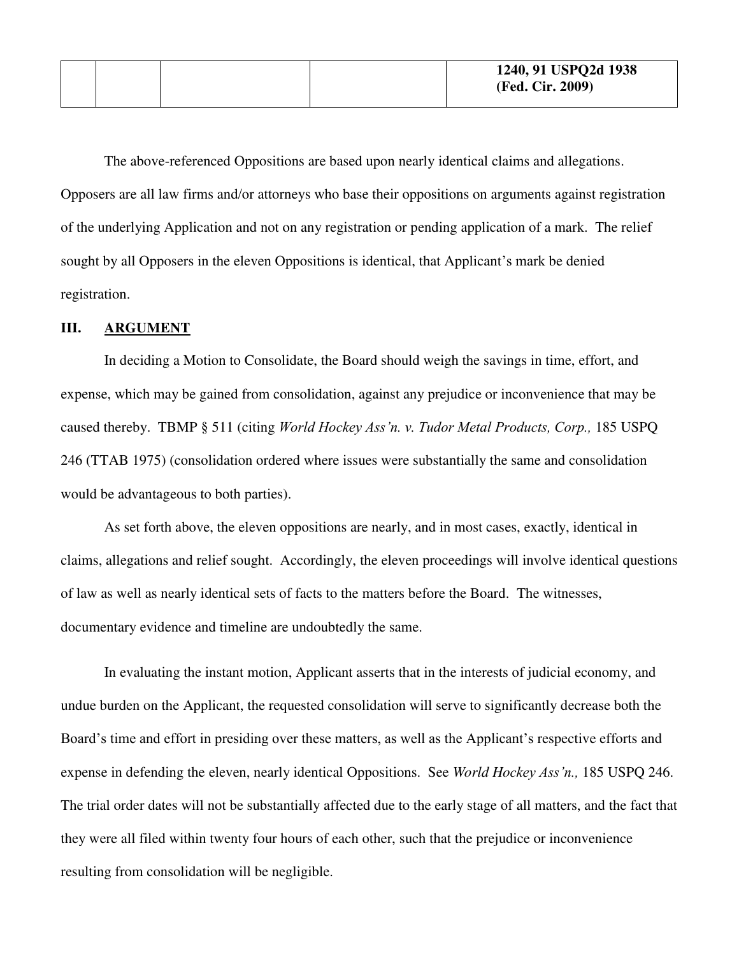The above-referenced Oppositions are based upon nearly identical claims and allegations. Opposers are all law firms and/or attorneys who base their oppositions on arguments against registration of the underlying Application and not on any registration or pending application of a mark. The relief sought by all Opposers in the eleven Oppositions is identical, that Applicant's mark be denied registration.

## **III. ARGUMENT**

 In deciding a Motion to Consolidate, the Board should weigh the savings in time, effort, and expense, which may be gained from consolidation, against any prejudice or inconvenience that may be caused thereby. TBMP § 511 (citing *World Hockey Ass'n. v. Tudor Metal Products, Corp.,* 185 USPQ 246 (TTAB 1975) (consolidation ordered where issues were substantially the same and consolidation would be advantageous to both parties).

 As set forth above, the eleven oppositions are nearly, and in most cases, exactly, identical in claims, allegations and relief sought. Accordingly, the eleven proceedings will involve identical questions of law as well as nearly identical sets of facts to the matters before the Board. The witnesses, documentary evidence and timeline are undoubtedly the same.

 In evaluating the instant motion, Applicant asserts that in the interests of judicial economy, and undue burden on the Applicant, the requested consolidation will serve to significantly decrease both the Board's time and effort in presiding over these matters, as well as the Applicant's respective efforts and expense in defending the eleven, nearly identical Oppositions. See *World Hockey Ass'n.,* 185 USPQ 246. The trial order dates will not be substantially affected due to the early stage of all matters, and the fact that they were all filed within twenty four hours of each other, such that the prejudice or inconvenience resulting from consolidation will be negligible.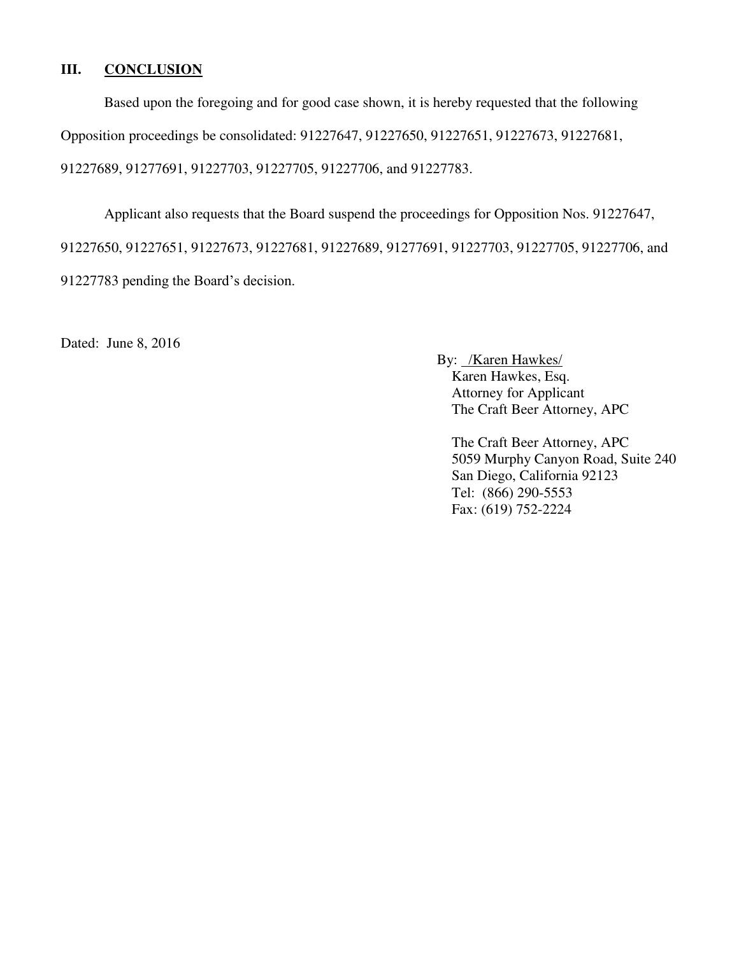# **III. CONCLUSION**

Based upon the foregoing and for good case shown, it is hereby requested that the following

Opposition proceedings be consolidated: 91227647, 91227650, 91227651, 91227673, 91227681,

91227689, 91277691, 91227703, 91227705, 91227706, and 91227783.

 Applicant also requests that the Board suspend the proceedings for Opposition Nos. 91227647, 91227650, 91227651, 91227673, 91227681, 91227689, 91277691, 91227703, 91227705, 91227706, and 91227783 pending the Board's decision.

Dated: June 8, 2016

By: /Karen Hawkes/ Karen Hawkes, Esq. Attorney for Applicant The Craft Beer Attorney, APC

The Craft Beer Attorney, APC 5059 Murphy Canyon Road, Suite 240 San Diego, California 92123 Tel: (866) 290-5553 Fax: (619) 752-2224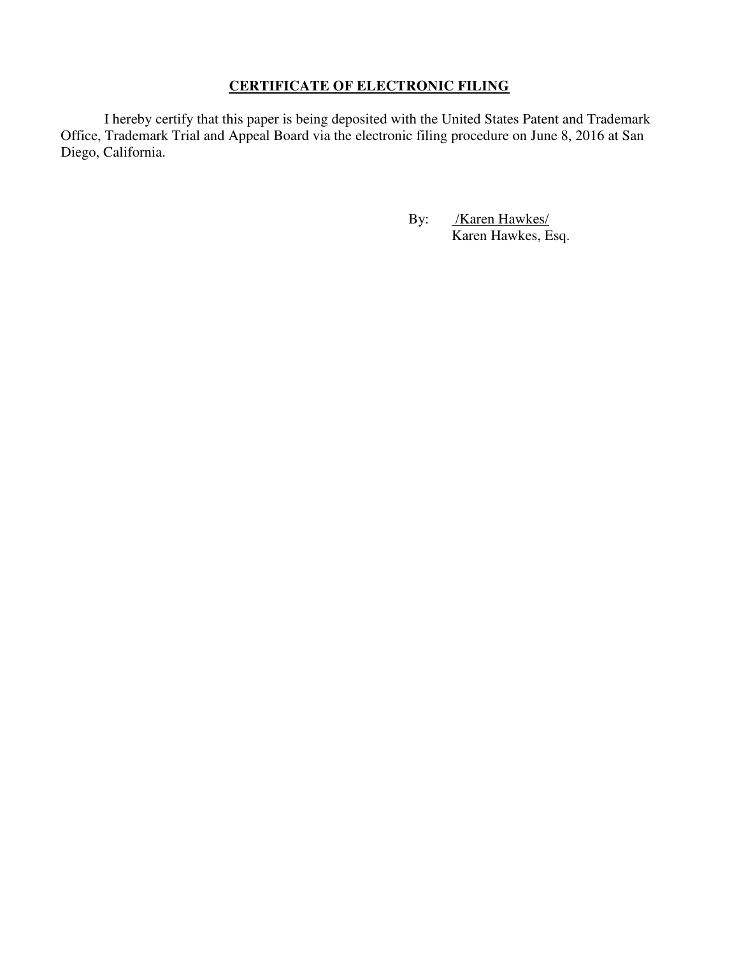# **CERTIFICATE OF ELECTRONIC FILING**

I hereby certify that this paper is being deposited with the United States Patent and Trademark Office, Trademark Trial and Appeal Board via the electronic filing procedure on June 8, 2016 at San Diego, California.

> By: /**Karen Hawkes/** Karen Hawkes, Esq.